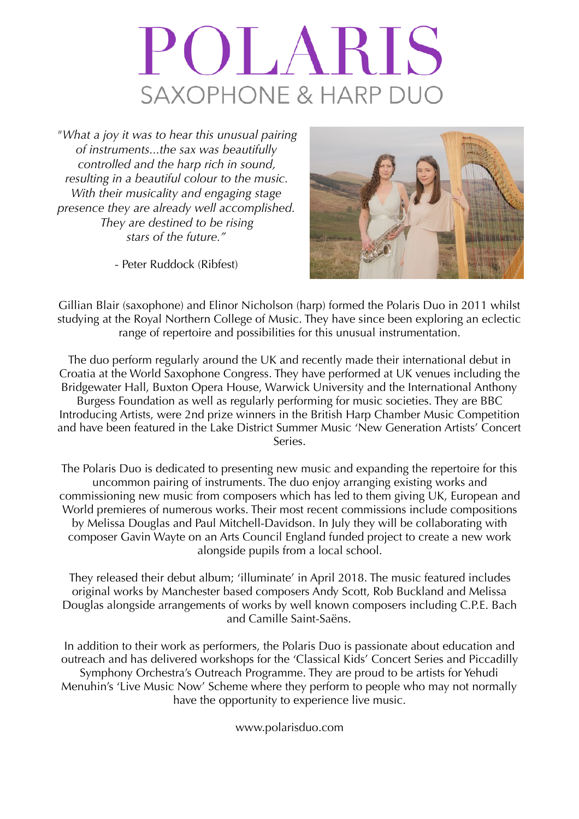## POLARIS SAXOPHONE & HARP DU

*"What a joy it was to hear this unusual pairing of instruments...the sax was beautifully controlled and the harp rich in sound, resulting in a beautiful colour to the music. With their musicality and engaging stage presence they are already well accomplished. They are destined to be rising stars of the future."* 

- Peter Ruddock (Ribfest)



Gillian Blair (saxophone) and Elinor Nicholson (harp) formed the Polaris Duo in 2011 whilst studying at the Royal Northern College of Music. They have since been exploring an eclectic range of repertoire and possibilities for this unusual instrumentation.

The duo perform regularly around the UK and recently made their international debut in Croatia at the World Saxophone Congress. They have performed at UK venues including the Bridgewater Hall, Buxton Opera House, Warwick University and the International Anthony Burgess Foundation as well as regularly performing for music societies. They are BBC Introducing Artists, were 2nd prize winners in the British Harp Chamber Music Competition and have been featured in the Lake District Summer Music 'New Generation Artists' Concert Series.

The Polaris Duo is dedicated to presenting new music and expanding the repertoire for this uncommon pairing of instruments. The duo enjoy arranging existing works and commissioning new music from composers which has led to them giving UK, European and World premieres of numerous works. Their most recent commissions include compositions by Melissa Douglas and Paul Mitchell-Davidson. In July they will be collaborating with composer Gavin Wayte on an Arts Council England funded project to create a new work alongside pupils from a local school.

They released their debut album; 'illuminate' in April 2018. The music featured includes original works by Manchester based composers Andy Scott, Rob Buckland and Melissa Douglas alongside arrangements of works by well known composers including C.P.E. Bach and Camille Saint-Saëns.

In addition to their work as performers, the Polaris Duo is passionate about education and outreach and has delivered workshops for the 'Classical Kids' Concert Series and Piccadilly Symphony Orchestra's Outreach Programme. They are proud to be artists for Yehudi Menuhin's 'Live Music Now' Scheme where they perform to people who may not normally have the opportunity to experience live music.

www.polarisduo.com